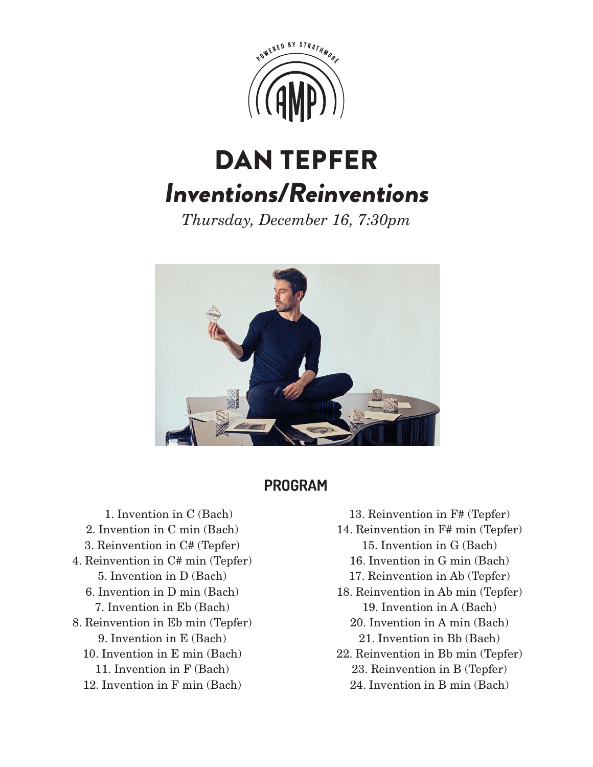

## DAN TEPFER Inventions/Reinventions

*Thursday, December 16, 7:30pm*



## **PROGRAM**

 1. Invention in C (Bach) 2. Invention in C min (Bach) 3. Reinvention in C# (Tepfer) 4. Reinvention in C# min (Tepfer) 5. Invention in D (Bach) 6. Invention in D min (Bach) 7. Invention in Eb (Bach) 8. Reinvention in Eb min (Tepfer) 9. Invention in E (Bach) 10. Invention in E min (Bach) 11. Invention in F (Bach)

12. Invention in F min (Bach)

- 13. Reinvention in F# (Tepfer)
- 14. Reinvention in F# min (Tepfer)
	- 15. Invention in G (Bach)
	- 16. Invention in G min (Bach)
	- 17. Reinvention in Ab (Tepfer)
- 18. Reinvention in Ab min (Tepfer) 19. Invention in A (Bach)
	- 20. Invention in A min (Bach) 21. Invention in Bb (Bach)
- 22. Reinvention in Bb min (Tepfer) 23. Reinvention in B (Tepfer)
	- 24. Invention in B min (Bach)